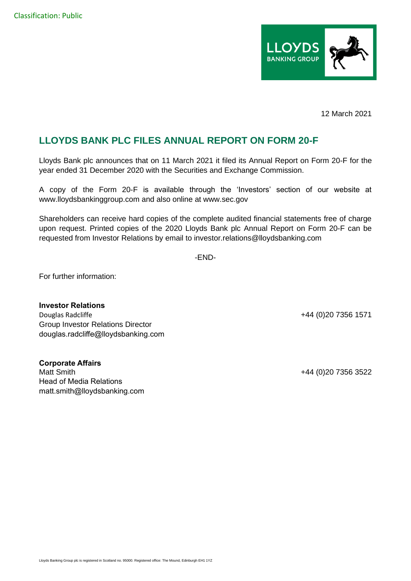

12 March 2021

## **LLOYDS BANK PLC FILES ANNUAL REPORT ON FORM 20-F**

Lloyds Bank plc announces that on 11 March 2021 it filed its Annual Report on Form 20-F for the year ended 31 December 2020 with the Securities and Exchange Commission.

A copy of the Form 20-F is available through the 'Investors' section of our website at www.lloydsbankinggroup.com and also online at [www.sec.gov](http://www.sec.gov/)

Shareholders can receive hard copies of the complete audited financial statements free of charge upon request. Printed copies of the 2020 Lloyds Bank plc Annual Report on Form 20-F can be requested from Investor Relations by email to investor.relations@lloydsbanking.com

-END-

For further information:

**Investor Relations** Douglas Radcliffe +44 (0)20 7356 1571 Group Investor Relations Director douglas.radcliffe@lloydsbanking.com

**Corporate Affairs** Matt Smith +44 (0)20 7356 3522 Head of Media Relations matt.smith@lloydsbanking.com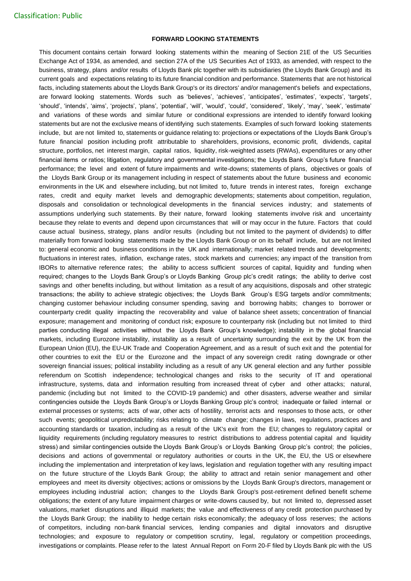## **FORWARD LOOKING STATEMENTS**

This document contains certain forward looking statements within the meaning of Section 21E of the US Securities Exchange Act of 1934, as amended, and section 27A of the US Securities Act of 1933, as amended, with respect to the business, strategy, plans and/or results of Lloyds Bank plc together with its subsidiaries (the Lloyds Bank Group) and its current goals and expectations relating to its future financial condition and performance. Statements that are not historical facts, including statements about the Lloyds Bank Group's or its directors' and/or management's beliefs and expectations, are forward looking statements. Words such as 'believes', 'achieves', 'anticipates', 'estimates', 'expects', 'targets', 'should', 'intends', 'aims', 'projects', 'plans', 'potential', 'will', 'would', 'could', 'considered', 'likely', 'may', 'seek', 'estimate' and variations of these words and similar future or conditional expressions are intended to identify forward looking statements but are not the exclusive means of identifying such statements. Examples of such forward looking statements include, but are not limited to, statements or guidance relating to: projections or expectations of the Lloyds Bank Group's future financial position including profit attributable to shareholders, provisions, economic profit, dividends, capital structure, portfolios, net interest margin, capital ratios, liquidity, risk-weighted assets (RWAs), expenditures or any other financial items or ratios; litigation, regulatory and governmental investigations; the Lloyds Bank Group's future financial performance; the level and extent of future impairments and write-downs; statements of plans, objectives or goals of the Lloyds Bank Group or its management including in respect of statements about the future business and economic environments in the UK and elsewhere including, but not limited to, future trends in interest rates, foreign exchange rates, credit and equity market levels and demographic developments; statements about competition, regulation, disposals and consolidation or technological developments in the financial services industry; and statements of assumptions underlying such statements. By their nature, forward looking statements involve risk and uncertainty because they relate to events and depend upon circumstances that will or may occur in the future. Factors that could cause actual business, strategy, plans and/or results (including but not limited to the payment of dividends) to differ materially from forward looking statements made by the Lloyds Bank Group or on its behalf include, but are not limited to: general economic and business conditions in the UK and internationally; market related trends and developments; fluctuations in interest rates, inflation, exchange rates, stock markets and currencies; any impact of the transition from IBORs to alternative reference rates; the ability to access sufficient sources of capital, liquidity and funding when required; changes to the Lloyds Bank Group's or Lloyds Banking Group plc's credit ratings; the ability to derive cost savings and other benefits including, but without limitation as a result of any acquisitions, disposals and other strategic transactions; the ability to achieve strategic objectives; the Lloyds Bank Group's ESG targets and/or commitments; changing customer behaviour including consumer spending, saving and borrowing habits; changes to borrower or counterparty credit quality impacting the recoverability and value of balance sheet assets; concentration of financial exposure; management and monitoring of conduct risk; exposure to counterparty risk (including but not limited to third parties conducting illegal activities without the Lloyds Bank Group's knowledge); instability in the global financial markets, including Eurozone instability, instability as a result of uncertainty surrounding the exit by the UK from the European Union (EU), the EU-UK Trade and Cooperation Agreement, and as a result of such exit and the potential for other countries to exit the EU or the Eurozone and the impact of any sovereign credit rating downgrade or other sovereign financial issues; political instability including as a result of any UK general election and any further possible referendum on Scottish independence; technological changes and risks to the security of IT and operational infrastructure, systems, data and information resulting from increased threat of cyber and other attacks; natural, pandemic (including but not limited to the COVID-19 pandemic) and other disasters, adverse weather and similar contingencies outside the Lloyds Bank Group's or Lloyds Banking Group plc's control; inadequate or failed internal or external processes or systems; acts of war, other acts of hostility, terrorist acts and responses to those acts, or other such events; geopolitical unpredictability; risks relating to climate change; changes in laws, regulations, practices and accounting standards or taxation, including as a result of the UK's exit from the EU; changes to regulatory capital or liquidity requirements (including regulatory measures to restrict distributions to address potential capital and liquidity stress) and similar contingencies outside the Lloyds Bank Group's or Lloyds Banking Group plc's control; the policies, decisions and actions of governmental or regulatory authorities or courts in the UK, the EU, the US or elsewhere including the implementation and interpretation of key laws, legislation and regulation together with any resulting impact on the future structure of the Lloyds Bank Group; the ability to attract and retain senior management and other employees and meet its diversity objectives; actions or omissions by the Lloyds Bank Group's directors, management or employees including industrial action; changes to the Lloyds Bank Group's post-retirement defined benefit scheme obligations; the extent of any future impairment charges or write-downs caused by, but not limited to, depressed asset valuations, market disruptions and illiquid markets; the value and effectiveness of any credit protection purchased by the Lloyds Bank Group; the inability to hedge certain risks economically; the adequacy of loss reserves; the actions of competitors, including non-bank financial services, lending companies and digital innovators and disruptive technologies; and exposure to regulatory or competition scrutiny, legal, regulatory or competition proceedings, investigations or complaints. Please refer to the latest Annual Report on Form 20-F filed by Lloyds Bank plc with the US